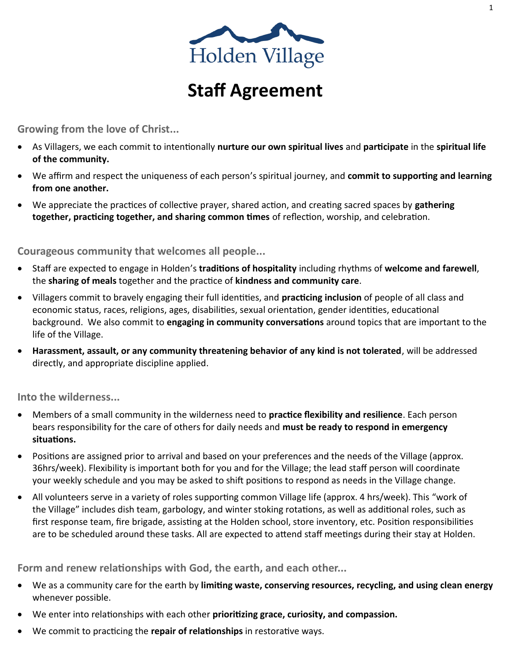

# **Staff Agreement**

**Growing from the love of Christ...**

- As Villagers, we each commit to intentionally **nurture our own spiritual lives** and **participate** in the **spiritual life of the community.**
- We affirm and respect the uniqueness of each person's spiritual journey, and **commit to supporting and learning from one another.**
- We appreciate the practices of collective prayer, shared action, and creating sacred spaces by **gathering together, practicing together, and sharing common times** of reflection, worship, and celebration.

**Courageous community that welcomes all people...**

- Staff are expected to engage in Holden's **traditions of hospitality** including rhythms of **welcome and farewell**, the **sharing of meals** together and the practice of **kindness and community care**.
- Villagers commit to bravely engaging their full identities, and **practicing inclusion** of people of all class and economic status, races, religions, ages, disabilities, sexual orientation, gender identities, educational background. We also commit to **engaging in community conversations** around topics that are important to the life of the Village.
- **Harassment, assault, or any community threatening behavior of any kind is not tolerated**, will be addressed directly, and appropriate discipline applied.

**Into the wilderness...**

- Members of a small community in the wilderness need to **practice flexibility and resilience**. Each person bears responsibility for the care of others for daily needs and **must be ready to respond in emergency situations.**
- Positions are assigned prior to arrival and based on your preferences and the needs of the Village (approx. 36hrs/week). Flexibility is important both for you and for the Village; the lead staff person will coordinate your weekly schedule and you may be asked to shift positions to respond as needs in the Village change.
- All volunteers serve in a variety of roles supporting common Village life (approx. 4 hrs/week). This "work of the Village" includes dish team, garbology, and winter stoking rotations, as well as additional roles, such as first response team, fire brigade, assisting at the Holden school, store inventory, etc. Position responsibilities are to be scheduled around these tasks. All are expected to attend staff meetings during their stay at Holden.

**Form and renew relationships with God, the earth, and each other...**

- We as a community care for the earth by **limiting waste, conserving resources, recycling, and using clean energy** whenever possible.
- We enter into relationships with each other **prioritizing grace, curiosity, and compassion.**
- We commit to practicing the **repair of relationships** in restorative ways.